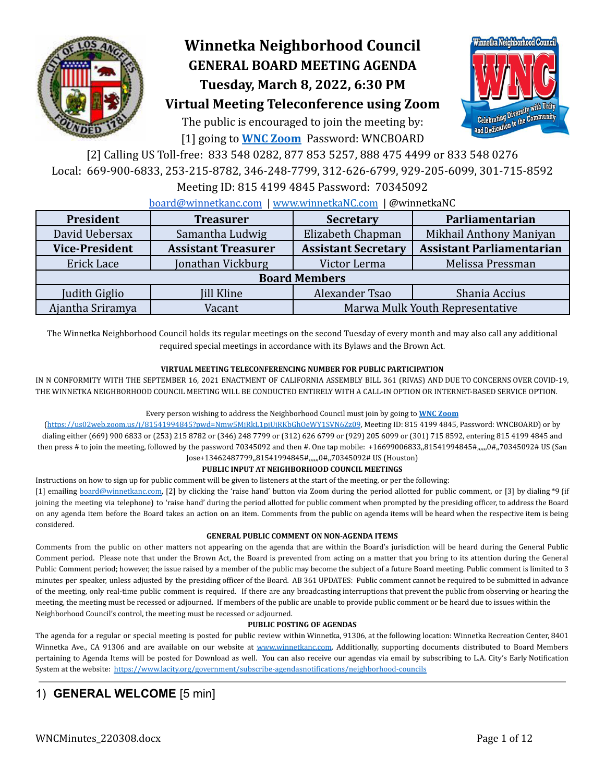

# **Winnetka Neighborhood Council GENERAL BOARD MEETING AGENDA Tuesday, March 8, 2022, 6:30 PM**



# **Virtual Meeting Teleconference using Zoom**

The public is encouraged to join the meeting by: [1] going to **[WNC Zoom](https://us02web.zoom.us/j/81541994845?pwd=Nmw5MjRkL1pjUjRKbGhOeWY1SVN6Zz09)** Password: WNCBOARD

[2] Calling US Toll-free: 833 548 0282, 877 853 5257, 888 475 4499 or 833 548 0276 Local: 669-900-6833, 253-215-8782, 346-248-7799, 312-626-6799, 929-205-6099, 301-715-8592

Meeting ID: 815 4199 4845 Password: 70345092

#### [board@winnetkanc.com](mailto:board@winnetkanc.com) | [www.winnetkaNC.com](http://www.winnetkanc.com) | @winnetkaNC

| President<br><b>Treasurer</b> |                                           | <b>Secretary</b>           | Parliamentarian                  |  |  |  |  |  |
|-------------------------------|-------------------------------------------|----------------------------|----------------------------------|--|--|--|--|--|
| David Uebersax                | Samantha Ludwig                           | Elizabeth Chapman          | Mikhail Anthony Maniyan          |  |  |  |  |  |
| <b>Vice-President</b>         | <b>Assistant Treasurer</b>                | <b>Assistant Secretary</b> | <b>Assistant Parliamentarian</b> |  |  |  |  |  |
| Erick Lace                    | Jonathan Vickburg                         | Victor Lerma               | Melissa Pressman                 |  |  |  |  |  |
| <b>Board Members</b>          |                                           |                            |                                  |  |  |  |  |  |
| Judith Giglio                 | <b>Jill Kline</b>                         | Alexander Tsao             | Shania Accius                    |  |  |  |  |  |
| Ajantha Sriramya              | Marwa Mulk Youth Representative<br>Vacant |                            |                                  |  |  |  |  |  |

The Winnetka Neighborhood Council holds its regular meetings on the second Tuesday of every month and may also call any additional required special meetings in accordance with its Bylaws and the Brown Act.

#### **VIRTUAL MEETING TELECONFERENCING NUMBER FOR PUBLIC PARTICIPATION**

IN N CONFORMITY WITH THE SEPTEMBER 16, 2021 ENACTMENT OF CALIFORNIA ASSEMBLY BILL 361 (RIVAS) AND DUE TO CONCERNS OVER COVID-19, THE WINNETKA NEIGHBORHOOD COUNCIL MEETING WILL BE CONDUCTED ENTIRELY WITH A CALL-IN OPTION OR INTERNET-BASED SERVICE OPTION.

#### Every person wishing to address the Neighborhood Council must join by going to **WNC [Zoom](https://us02web.zoom.us/j/81541994845?pwd=Nmw5MjRkL1pjUjRKbGhOeWY1SVN6Zz09)**

(<https://us02web.zoom.us/j/81541994845?pwd=Nmw5MjRkL1pjUjRKbGhOeWY1SVN6Zz09>, Meeting ID: 815 4199 4845, Password: WNCBOARD) or by dialing either (669) 900 6833 or (253) 215 8782 or (346) 248 7799 or (312) 626 6799 or (929) 205 6099 or (301) 715 8592, entering 815 4199 4845 and then press # to join the meeting, followed by the password 70345092 and then #. One tap mobile: +16699006833,81541994845#,,,,,,0#,,70345092# US (San Jose+13462487799,,81541994845#,,,,,,0#,,70345092# US (Houston)

#### **PUBLIC INPUT AT NEIGHBORHOOD COUNCIL MEETINGS**

Instructions on how to sign up for public comment will be given to listeners at the start of the meeting, or per the following:

[1] emailing [board@winnetkanc.com,](mailto:board@winnetkanc.com) [2] by clicking the 'raise hand' button via Zoom during the period allotted for public comment, or [3] by dialing \*9 (if joining the meeting via telephone) to 'raise hand' during the period allotted for public comment when prompted by the presiding officer, to address the Board on any agenda item before the Board takes an action on an item. Comments from the public on agenda items will be heard when the respective item is being considered.

#### **GENERAL PUBLIC COMMENT ON NON-AGENDA ITEMS**

Comments from the public on other matters not appearing on the agenda that are within the Board's jurisdiction will be heard during the General Public Comment period. Please note that under the Brown Act, the Board is prevented from acting on a matter that you bring to its attention during the General Public Comment period; however, the issue raised by a member of the public may become the subject of a future Board meeting. Public comment is limited to 3 minutes per speaker, unless adjusted by the presiding officer of the Board. AB 361 UPDATES: Public comment cannot be required to be submitted in advance of the meeting, only real-time public comment is required. If there are any broadcasting interruptions that prevent the public from observing or hearing the meeting, the meeting must be recessed or adjourned. If members of the public are unable to provide public comment or be heard due to issues within the Neighborhood Council's control, the meeting must be recessed or adjourned.

#### **PUBLIC POSTING OF AGENDAS**

The agenda for a regular or special meeting is posted for public review within Winnetka, 91306, at the following location: Winnetka Recreation Center, 8401 Winnetka Ave., CA 91306 and are available on our website at www.winnetkanc.com. Additionally, supporting documents distributed to Board Members pertaining to Agenda Items will be posted for Download as well. You can also receive our agendas via email by subscribing to L.A. City's Early Notification System at the website: <https://www.lacity.org/government/subscribe-agendasnotifications/neighborhood-councils>

## 1) **GENERAL WELCOME** [5 min]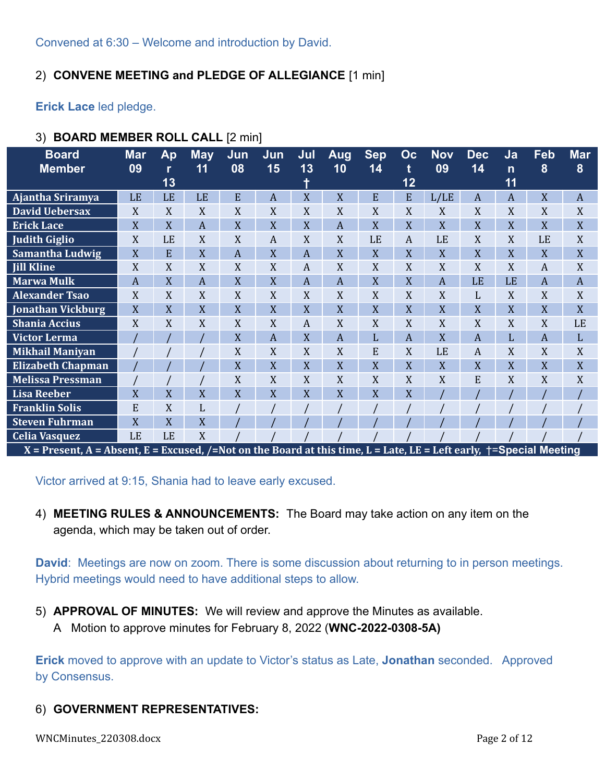Convened at 6:30 – Welcome and introduction by David.

## 2) **CONVENE MEETING and PLEDGE OF ALLEGIANCE** [1 min]

**Erick Lace** led pledge.

| ັບ<br><b>DOAIND MEMBER ROLL OALL IZ HILL</b>                                  |                  |               |                  |           |                  |                  |                  |                  |                |                                         |                  |                          |                  |                  |
|-------------------------------------------------------------------------------|------------------|---------------|------------------|-----------|------------------|------------------|------------------|------------------|----------------|-----------------------------------------|------------------|--------------------------|------------------|------------------|
| <b>Board</b><br><b>Member</b>                                                 | <b>Mar</b><br>09 | Ap<br>r<br>13 | <b>May</b><br>11 | Jun<br>08 | Jun<br>15        | Jul<br>13<br>t   | <b>Aug</b><br>10 | <b>Sep</b><br>14 | Oc<br>t<br>12  | <b>Nov</b><br>09                        | <b>Dec</b><br>14 | Ja<br>$\mathsf{n}$<br>11 | Feb<br>8         | Ma<br>8          |
| Ajantha Sriramya                                                              | LE               | LE            | LE               | E         | $\boldsymbol{A}$ | X                | X                | E                | ${\bf E}$      | L/LE                                    | A                | $\overline{A}$           | X                | $\boldsymbol{A}$ |
| <b>David Uebersax</b>                                                         | X                | X             | X                | X         | X                | X                | X                | X                | X              | X                                       | X                | X                        | X                | $\mathbf X$      |
| <b>Erick Lace</b>                                                             | X                | X             | $\overline{A}$   | X         | X                | X                | $\overline{A}$   | X                | X              | X                                       | X                | X                        | X                | X                |
| <b>Judith Giglio</b>                                                          | X                | LE            | X                | X         | A                | X                | X                | LE               | A              | LE                                      | X                | X                        | LE               | $\mathbf X$      |
| Samantha Ludwig                                                               | X                | E             | X                | A         | X                | $\overline{A}$   | X                | X                | X              | X                                       | X                | X                        | X                | $\mathbf X$      |
| <b>Jill Kline</b>                                                             | X                | X             | X                | X         | X                | $\boldsymbol{A}$ | X                | X                | X              | X                                       | X                | X                        | $\boldsymbol{A}$ | X                |
| <b>Marwa Mulk</b>                                                             | $\overline{A}$   | X             | $\overline{A}$   | X         | X                | $\boldsymbol{A}$ | $\boldsymbol{A}$ | X                | X              | $\overline{A}$                          | LE               | LE                       | $\mathbf{A}$     | $\boldsymbol{A}$ |
| <b>Alexander Tsao</b>                                                         | X                | X             | X                | X         | X                | X                | X                | X                | X              | X                                       | L                | X                        | X                | X                |
| Jonathan Vickburg                                                             | X                | X             | X                | X         | X                | X                | X                | X                | X              | X                                       | X                | X                        | X                | X                |
| Shania Accius                                                                 | X                | X             | X                | X         | X                | A                | X                | X                | X              | X                                       | X                | X                        | X                | LE               |
| <b>Victor Lerma</b>                                                           |                  |               |                  | X         | $\boldsymbol{A}$ | X                | $\overline{A}$   | L                | $\overline{A}$ | X                                       | $\overline{A}$   | L                        | $\boldsymbol{A}$ | $\mathbf{L}$     |
| <b>Mikhail Maniyan</b>                                                        |                  |               |                  | X         | X                | X                | X                | E                | X              | LE                                      | A                | X                        | X                | X                |
| <b>Elizabeth Chapman</b>                                                      |                  |               |                  | X         | X                | X                | X                | X                | X              | X                                       | X                | X                        | X                | X                |
| <b>Melissa Pressman</b>                                                       |                  |               |                  | X         | X                | X                | X                | X                | X              | X                                       | E                | X                        | X                | X                |
| <b>Lisa Reeber</b>                                                            | X                | X             | X                | X         | X                | X                | X                | X                | X              |                                         |                  |                          |                  |                  |
| <b>Franklin Solis</b>                                                         | E                | X             | L                |           |                  |                  |                  |                  |                |                                         |                  |                          |                  |                  |
| <b>Steven Fuhrman</b>                                                         | X                | X             | X                |           |                  |                  |                  |                  |                |                                         |                  |                          |                  |                  |
| <b>Celia Vasquez</b>                                                          | LE               | LE            | X                |           |                  |                  |                  |                  |                |                                         |                  |                          |                  |                  |
| $Y$ – Procent $A$ – Absent $F$ – Fycused $/$ –Not on the Roard at this time I |                  |               |                  |           |                  |                  |                  | $-I$ ata         |                | $IF - I$ oft aarly $+=$ Snacial Maating |                  |                          |                  |                  |

## 3) **BOARD MEMBER ROLL CALL** [2 min]

X = Present, A = Absent, E = Excused, /=Not on the Board at this time, L = Late, LE = Left early, †=Special Meeting

Victor arrived at 9:15, Shania had to leave early excused.

4) **MEETING RULES & ANNOUNCEMENTS:** The Board may take action on any item on the agenda, which may be taken out of order.

**David**: Meetings are now on zoom. There is some discussion about returning to in person meetings. Hybrid meetings would need to have additional steps to allow.

- 5) **APPROVAL OF MINUTES:** We will review and approve the Minutes as available.
	- A Motion to approve minutes for February 8, 2022 (**WNC-2022-0308-5A)**

**Erick** moved to approve with an update to Victor's status as Late, **Jonathan** seconded. Approved by Consensus.

## 6) **GOVERNMENT REPRESENTATIVES:**

WNCMinutes\_220308.docx Page 2 of 12

**Mar 8**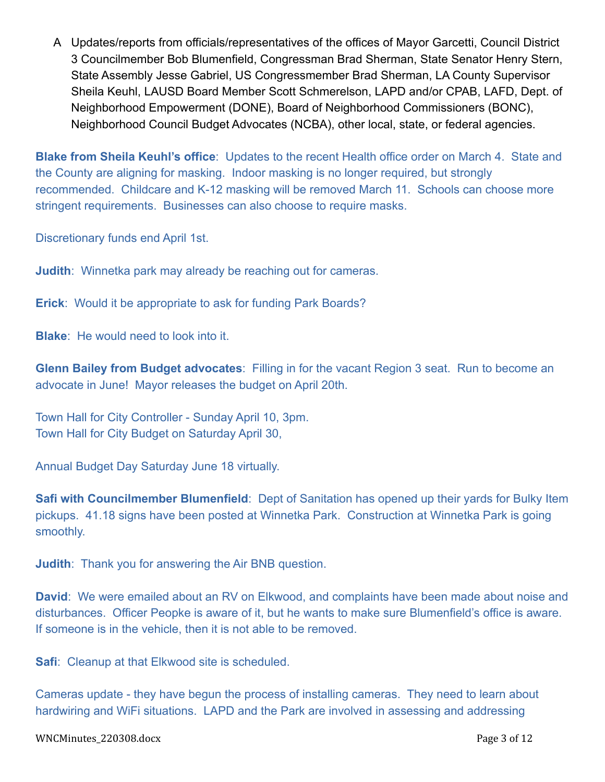A Updates/reports from officials/representatives of the offices of Mayor Garcetti, Council District 3 Councilmember Bob Blumenfield, Congressman Brad Sherman, State Senator Henry Stern, State Assembly Jesse Gabriel, US Congressmember Brad Sherman, LA County Supervisor Sheila Keuhl, LAUSD Board Member Scott Schmerelson, LAPD and/or CPAB, LAFD, Dept. of Neighborhood Empowerment (DONE), Board of Neighborhood Commissioners (BONC), Neighborhood Council Budget Advocates (NCBA), other local, state, or federal agencies.

**Blake from Sheila Keuhl's office**: Updates to the recent Health office order on March 4. State and the County are aligning for masking. Indoor masking is no longer required, but strongly recommended. Childcare and K-12 masking will be removed March 11. Schools can choose more stringent requirements. Businesses can also choose to require masks.

Discretionary funds end April 1st.

**Judith**: Winnetka park may already be reaching out for cameras.

**Erick**: Would it be appropriate to ask for funding Park Boards?

**Blake**: He would need to look into it.

**Glenn Bailey from Budget advocates**: Filling in for the vacant Region 3 seat. Run to become an advocate in June! Mayor releases the budget on April 20th.

Town Hall for City Controller - Sunday April 10, 3pm. Town Hall for City Budget on Saturday April 30,

Annual Budget Day Saturday June 18 virtually.

**Safi with Councilmember Blumenfield**: Dept of Sanitation has opened up their yards for Bulky Item pickups. 41.18 signs have been posted at Winnetka Park. Construction at Winnetka Park is going smoothly.

**Judith**: Thank you for answering the Air BNB question.

**David**: We were emailed about an RV on Elkwood, and complaints have been made about noise and disturbances. Officer Peopke is aware of it, but he wants to make sure Blumenfield's office is aware. If someone is in the vehicle, then it is not able to be removed.

**Safi:** Cleanup at that Elkwood site is scheduled.

Cameras update - they have begun the process of installing cameras. They need to learn about hardwiring and WiFi situations. LAPD and the Park are involved in assessing and addressing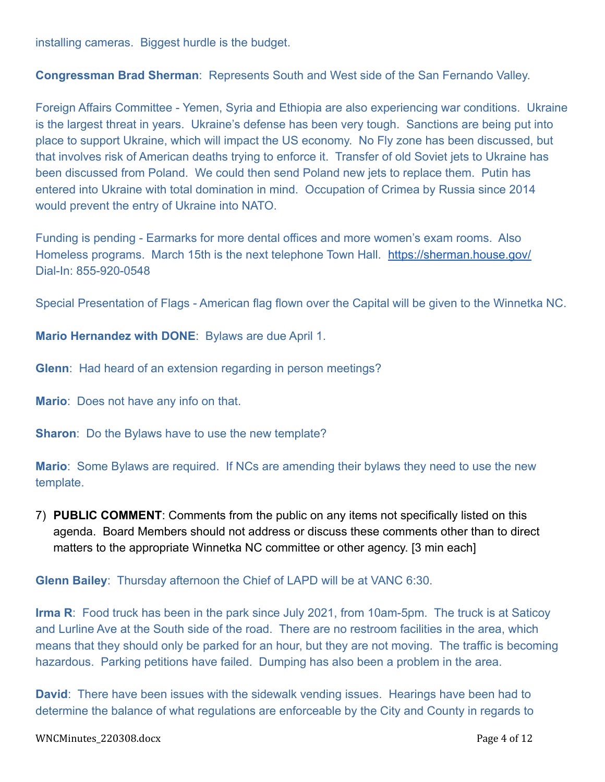installing cameras. Biggest hurdle is the budget.

**Congressman Brad Sherman**: Represents South and West side of the San Fernando Valley.

Foreign Affairs Committee - Yemen, Syria and Ethiopia are also experiencing war conditions. Ukraine is the largest threat in years. Ukraine's defense has been very tough. Sanctions are being put into place to support Ukraine, which will impact the US economy. No Fly zone has been discussed, but that involves risk of American deaths trying to enforce it. Transfer of old Soviet jets to Ukraine has been discussed from Poland. We could then send Poland new jets to replace them. Putin has entered into Ukraine with total domination in mind. Occupation of Crimea by Russia since 2014 would prevent the entry of Ukraine into NATO.

Funding is pending - Earmarks for more dental offices and more women's exam rooms. Also Homeless programs. March 15th is the next telephone Town Hall. <https://sherman.house.gov/> Dial-In: 855-920-0548

Special Presentation of Flags - American flag flown over the Capital will be given to the Winnetka NC.

**Mario Hernandez with DONE**: Bylaws are due April 1.

**Glenn**: Had heard of an extension regarding in person meetings?

**Mario**: Does not have any info on that.

**Sharon**: Do the Bylaws have to use the new template?

**Mario**: Some Bylaws are required. If NCs are amending their bylaws they need to use the new template.

7) **PUBLIC COMMENT**: Comments from the public on any items not specifically listed on this agenda. Board Members should not address or discuss these comments other than to direct matters to the appropriate Winnetka NC committee or other agency. [3 min each]

**Glenn Bailey**: Thursday afternoon the Chief of LAPD will be at VANC 6:30.

**Irma R**: Food truck has been in the park since July 2021, from 10am-5pm. The truck is at Saticoy and Lurline Ave at the South side of the road. There are no restroom facilities in the area, which means that they should only be parked for an hour, but they are not moving. The traffic is becoming hazardous. Parking petitions have failed. Dumping has also been a problem in the area.

**David**: There have been issues with the sidewalk vending issues. Hearings have been had to determine the balance of what regulations are enforceable by the City and County in regards to

WNCMinutes\_220308.docx Page 4 of 12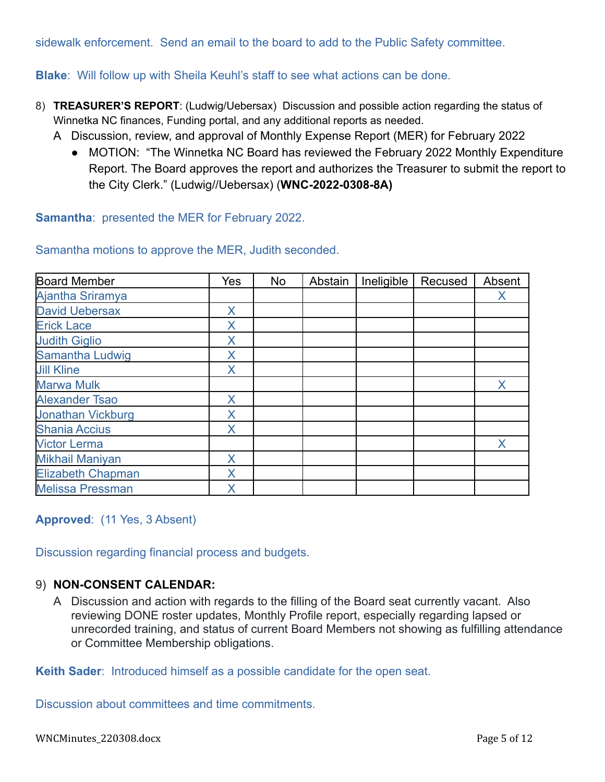sidewalk enforcement. Send an email to the board to add to the Public Safety committee.

**Blake**: Will follow up with Sheila Keuhl's staff to see what actions can be done.

- 8) **TREASURER'S REPORT**: (Ludwig/Uebersax) Discussion and possible action regarding the status of Winnetka NC finances, Funding portal, and any additional reports as needed.
	- A Discussion, review, and approval of Monthly Expense Report (MER) for February 2022
		- MOTION: "The Winnetka NC Board has reviewed the February 2022 Monthly Expenditure Report. The Board approves the report and authorizes the Treasurer to submit the report to the City Clerk." (Ludwig//Uebersax) (**WNC-2022-0308-8A)**

**Samantha**: presented the MER for February 2022.

Samantha motions to approve the MER, Judith seconded.

| <b>Board Member</b>      | Yes | <b>No</b> | Abstain | Ineligible | Recused | Absent |
|--------------------------|-----|-----------|---------|------------|---------|--------|
| Ajantha Sriramya         |     |           |         |            |         | X      |
| <b>David Uebersax</b>    | X   |           |         |            |         |        |
| <b>Erick Lace</b>        | Χ   |           |         |            |         |        |
| <b>Judith Giglio</b>     | X   |           |         |            |         |        |
| Samantha Ludwig          | X   |           |         |            |         |        |
| <b>Jill Kline</b>        | X   |           |         |            |         |        |
| <b>Marwa Mulk</b>        |     |           |         |            |         | X      |
| <b>Alexander Tsao</b>    | X   |           |         |            |         |        |
| <b>Jonathan Vickburg</b> | X   |           |         |            |         |        |
| <b>Shania Accius</b>     | X   |           |         |            |         |        |
| <b>Victor Lerma</b>      |     |           |         |            |         | X      |
| <b>Mikhail Maniyan</b>   | X   |           |         |            |         |        |
| <b>Elizabeth Chapman</b> | Χ   |           |         |            |         |        |
| <b>Melissa Pressman</b>  | Χ   |           |         |            |         |        |

**Approved**: (11 Yes, 3 Absent)

Discussion regarding financial process and budgets.

### 9) **NON-CONSENT CALENDAR:**

A Discussion and action with regards to the filling of the Board seat currently vacant. Also reviewing DONE roster updates, Monthly Profile report, especially regarding lapsed or unrecorded training, and status of current Board Members not showing as fulfilling attendance or Committee Membership obligations.

**Keith Sader**: Introduced himself as a possible candidate for the open seat.

Discussion about committees and time commitments.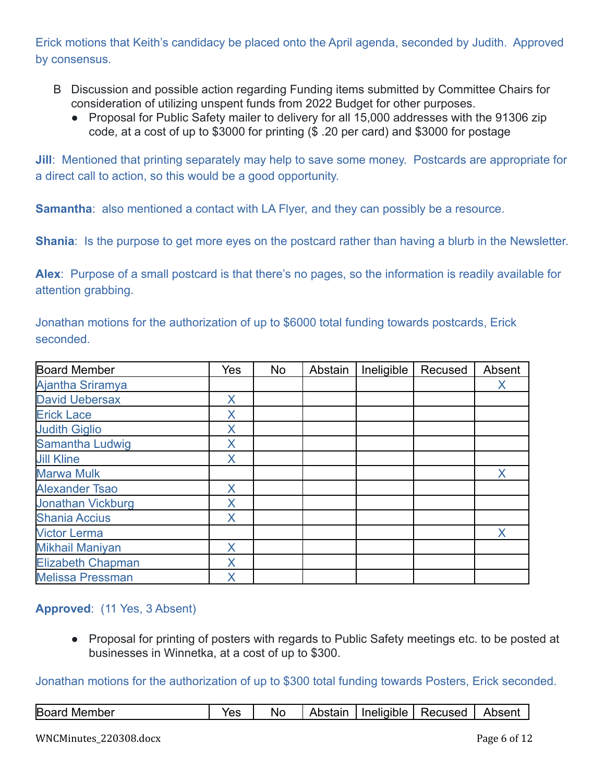Erick motions that Keith's candidacy be placed onto the April agenda, seconded by Judith. Approved by consensus.

- B Discussion and possible action regarding Funding items submitted by Committee Chairs for consideration of utilizing unspent funds from 2022 Budget for other purposes.
	- Proposal for Public Safety mailer to delivery for all 15,000 addresses with the 91306 zip code, at a cost of up to \$3000 for printing (\$ .20 per card) and \$3000 for postage

**Jill:** Mentioned that printing separately may help to save some money. Postcards are appropriate for a direct call to action, so this would be a good opportunity.

**Samantha:** also mentioned a contact with LA Flyer, and they can possibly be a resource.

**Shania:** Is the purpose to get more eyes on the postcard rather than having a blurb in the Newsletter.

**Alex**: Purpose of a small postcard is that there's no pages, so the information is readily available for attention grabbing.

| Board Member             | Yes | <b>No</b> | Abstain | Ineligible | Recused | Absent |
|--------------------------|-----|-----------|---------|------------|---------|--------|
| Ajantha Sriramya         |     |           |         |            |         | Χ      |
| <b>David Uebersax</b>    | Χ   |           |         |            |         |        |
| <b>Erick Lace</b>        | Χ   |           |         |            |         |        |
| <b>Judith Giglio</b>     | Χ   |           |         |            |         |        |
| <b>Samantha Ludwig</b>   | Χ   |           |         |            |         |        |
| <b>Jill Kline</b>        | X   |           |         |            |         |        |
| <b>Marwa Mulk</b>        |     |           |         |            |         | Χ      |
| <b>Alexander Tsao</b>    | X   |           |         |            |         |        |
| <b>Jonathan Vickburg</b> | Χ   |           |         |            |         |        |
| <b>Shania Accius</b>     | X   |           |         |            |         |        |
| <b>Victor Lerma</b>      |     |           |         |            |         | X      |
| <b>Mikhail Maniyan</b>   | X   |           |         |            |         |        |
| <b>Elizabeth Chapman</b> | Χ   |           |         |            |         |        |
| <b>Melissa Pressman</b>  | X   |           |         |            |         |        |

Jonathan motions for the authorization of up to \$6000 total funding towards postcards, Erick seconded.

### **Approved**: (11 Yes, 3 Absent)

● Proposal for printing of posters with regards to Public Safety meetings etc. to be posted at businesses in Winnetka, at a cost of up to \$300.

Jonathan motions for the authorization of up to \$300 total funding towards Posters, Erick seconded.

| <b>Board Member</b> | Yes | Nc |  |  | Abstain   Ineligible   Recused   Absent |  |
|---------------------|-----|----|--|--|-----------------------------------------|--|
|---------------------|-----|----|--|--|-----------------------------------------|--|

#### WNCMinutes\_220308.docx Page 6 of 12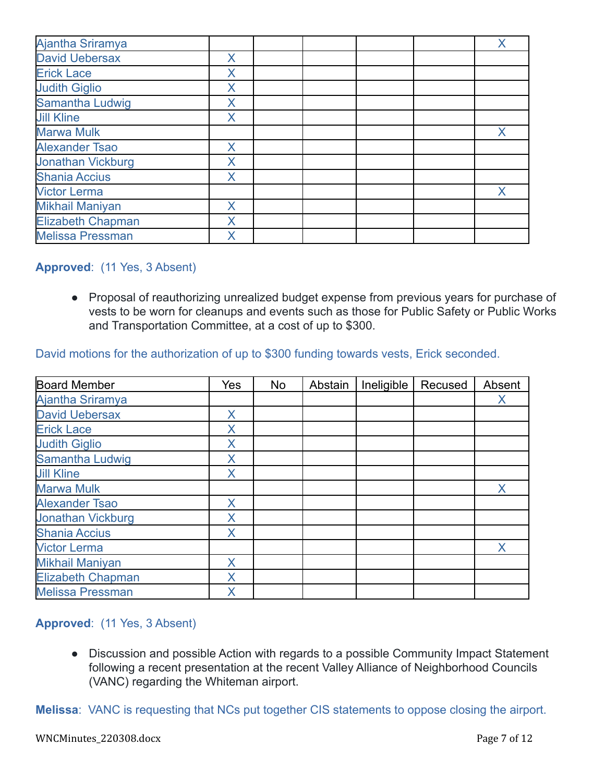| Ajantha Sriramya         |   |  |  |   |
|--------------------------|---|--|--|---|
| <b>David Uebersax</b>    | X |  |  |   |
| <b>Erick Lace</b>        | Χ |  |  |   |
| <b>Judith Giglio</b>     | X |  |  |   |
| <b>Samantha Ludwig</b>   | Χ |  |  |   |
| <b>Jill Kline</b>        | X |  |  |   |
| <b>Marwa Mulk</b>        |   |  |  | X |
| <b>Alexander Tsao</b>    | X |  |  |   |
| <b>Jonathan Vickburg</b> | X |  |  |   |
| <b>Shania Accius</b>     | X |  |  |   |
| <b>Victor Lerma</b>      |   |  |  | X |
| <b>Mikhail Maniyan</b>   | X |  |  |   |
| <b>Elizabeth Chapman</b> | X |  |  |   |
| <b>Melissa Pressman</b>  | Χ |  |  |   |

### **Approved**: (11 Yes, 3 Absent)

● Proposal of reauthorizing unrealized budget expense from previous years for purchase of vests to be worn for cleanups and events such as those for Public Safety or Public Works and Transportation Committee, at a cost of up to \$300.

David motions for the authorization of up to \$300 funding towards vests, Erick seconded.

| <b>Board Member</b>      | Yes      | No | Abstain | Ineligible | Recused | Absent |
|--------------------------|----------|----|---------|------------|---------|--------|
| Ajantha Sriramya         |          |    |         |            |         | Х      |
| <b>David Uebersax</b>    | X        |    |         |            |         |        |
| <b>Erick Lace</b>        | Χ        |    |         |            |         |        |
| <b>Judith Giglio</b>     | X        |    |         |            |         |        |
| Samantha Ludwig          | Χ        |    |         |            |         |        |
| <b>Jill Kline</b>        | <b>X</b> |    |         |            |         |        |
| <b>Marwa Mulk</b>        |          |    |         |            |         | X      |
| <b>Alexander Tsao</b>    | X        |    |         |            |         |        |
| <b>Jonathan Vickburg</b> | Χ        |    |         |            |         |        |
| <b>Shania Accius</b>     | X        |    |         |            |         |        |
| <b>Victor Lerma</b>      |          |    |         |            |         | X      |
| <b>Mikhail Maniyan</b>   | X.       |    |         |            |         |        |
| <b>Elizabeth Chapman</b> | X        |    |         |            |         |        |
| <b>Melissa Pressman</b>  | X        |    |         |            |         |        |

### **Approved**: (11 Yes, 3 Absent)

• Discussion and possible Action with regards to a possible Community Impact Statement following a recent presentation at the recent Valley Alliance of Neighborhood Councils (VANC) regarding the Whiteman airport.

**Melissa**: VANC is requesting that NCs put together CIS statements to oppose closing the airport.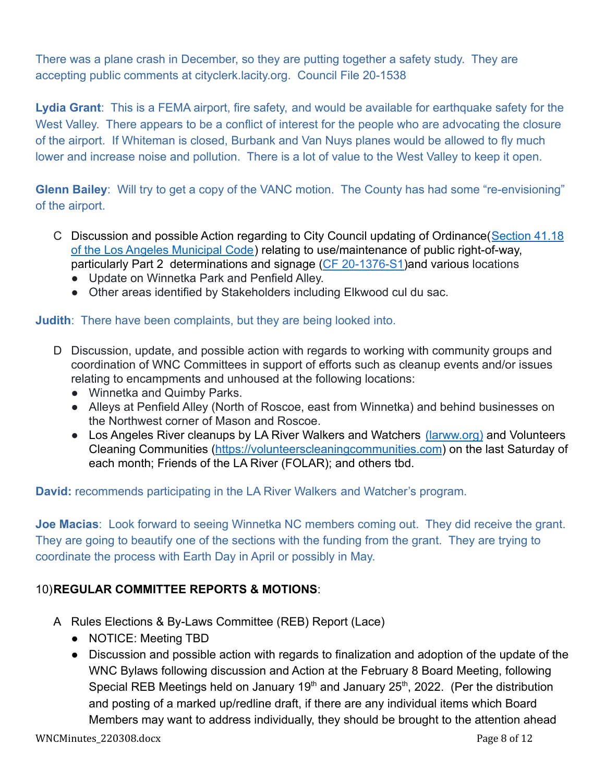There was a plane crash in December, so they are putting together a safety study. They are accepting public comments at cityclerk.lacity.org. Council File 20-1538

**Lydia Grant**: This is a FEMA airport, fire safety, and would be available for earthquake safety for the West Valley. There appears to be a conflict of interest for the people who are advocating the closure of the airport. If Whiteman is closed, Burbank and Van Nuys planes would be allowed to fly much lower and increase noise and pollution. There is a lot of value to the West Valley to keep it open.

**Glenn Bailey**: Will try to get a copy of the VANC motion. The County has had some "re-envisioning" of the airport.

- C Discussion and possible Action regarding to City Council updating of Ordinance([Section 41.18](https://clkrep.lacity.org/onlinedocs/2020/20-1376-S1_ord_187127_09-03-21.pdf) [of the Los Angeles Municipal Code](https://clkrep.lacity.org/onlinedocs/2020/20-1376-S1_ord_187127_09-03-21.pdf)) relating to use/maintenance of public right-of-way, particularly Part 2 determinations and signage (CF [20-1376-S1\)](https://cityclerk.lacity.org/lacityclerkconnect/index.cfm?fa=ccfi.viewrecord&cfnumber=20-1376-S1)and various locations
	- Update on Winnetka Park and Penfield Alley.
	- Other areas identified by Stakeholders including Elkwood cul du sac.

## **Judith**: There have been complaints, but they are being looked into.

- D Discussion, update, and possible action with regards to working with community groups and coordination of WNC Committees in support of efforts such as cleanup events and/or issues relating to encampments and unhoused at the following locations:
	- Winnetka and Quimby Parks.
	- Alleys at Penfield Alley (North of Roscoe, east from Winnetka) and behind businesses on the Northwest corner of Mason and Roscoe.
	- Los Angeles River cleanups by LA River Walkers and Watchers [\(larww.org\)](http://larww.org/) and Volunteers Cleaning Communities (<https://volunteerscleaningcommunities.com>) on the last Saturday of each month; Friends of the LA River (FOLAR); and others tbd.

**David:** recommends participating in the LA River Walkers and Watcher's program.

**Joe Macias**: Look forward to seeing Winnetka NC members coming out. They did receive the grant. They are going to beautify one of the sections with the funding from the grant. They are trying to coordinate the process with Earth Day in April or possibly in May.

## 10)**REGULAR COMMITTEE REPORTS & MOTIONS**:

- A Rules Elections & By-Laws Committee (REB) Report (Lace)
	- **●** NOTICE: Meeting TBD
	- **●** Discussion and possible action with regards to finalization and adoption of the update of the WNC Bylaws following discussion and Action at the February 8 Board Meeting, following Special REB Meetings held on January 19<sup>th</sup> and January 25<sup>th</sup>, 2022. (Per the distribution and posting of a marked up/redline draft, if there are any individual items which Board Members may want to address individually, they should be brought to the attention ahead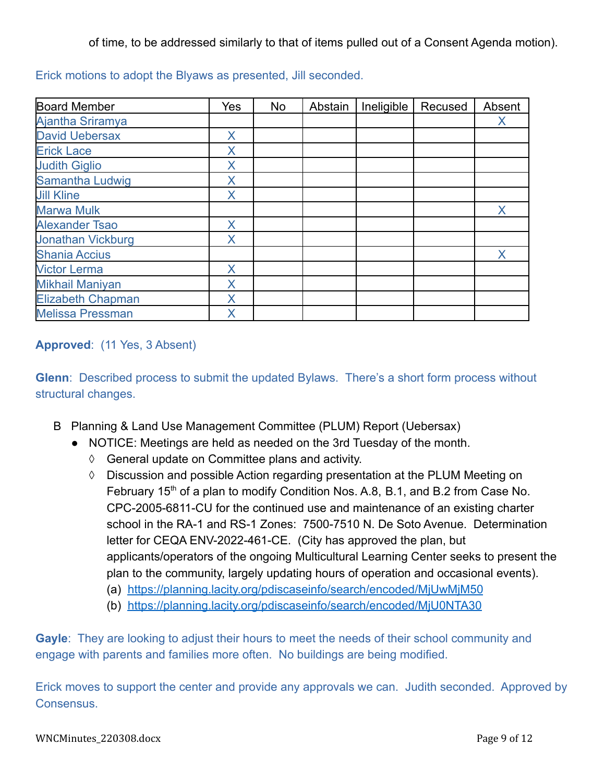of time, to be addressed similarly to that of items pulled out of a Consent Agenda motion).

| <b>Board Member</b>      | Yes | No | Abstain | Ineligible | Recused | Absent |
|--------------------------|-----|----|---------|------------|---------|--------|
| <b>Ajantha Sriramya</b>  |     |    |         |            |         | X      |
| <b>David Uebersax</b>    | X   |    |         |            |         |        |
| <b>Erick Lace</b>        | X   |    |         |            |         |        |
| <b>Judith Giglio</b>     | X   |    |         |            |         |        |
| Samantha Ludwig          | X   |    |         |            |         |        |
| <b>Jill Kline</b>        | Χ   |    |         |            |         |        |
| <b>Marwa Mulk</b>        |     |    |         |            |         | X      |
| <b>Alexander Tsao</b>    | X   |    |         |            |         |        |
| <b>Jonathan Vickburg</b> | Χ   |    |         |            |         |        |
| <b>Shania Accius</b>     |     |    |         |            |         | X      |
| <b>Victor Lerma</b>      | X   |    |         |            |         |        |
| <b>Mikhail Maniyan</b>   | X   |    |         |            |         |        |
| <b>Elizabeth Chapman</b> | Χ   |    |         |            |         |        |
| <b>Melissa Pressman</b>  | X   |    |         |            |         |        |

Erick motions to adopt the Blyaws as presented, Jill seconded.

## **Approved**: (11 Yes, 3 Absent)

**Glenn**: Described process to submit the updated Bylaws. There's a short form process without structural changes.

- B Planning & Land Use Management Committee (PLUM) Report (Uebersax)
	- NOTICE: Meetings are held as needed on the 3rd Tuesday of the month.
		- ◊ General update on Committee plans and activity.
		- ◊ Discussion and possible Action regarding presentation at the PLUM Meeting on February 15<sup>th</sup> of a plan to modify Condition Nos. A.8, B.1, and B.2 from Case No. CPC-2005-6811-CU for the continued use and maintenance of an existing charter school in the RA-1 and RS-1 Zones: 7500-7510 N. De Soto Avenue. Determination letter for CEQA ENV-2022-461-CE. (City has approved the plan, but applicants/operators of the ongoing Multicultural Learning Center seeks to present the plan to the community, largely updating hours of operation and occasional events).
			- (a) <https://planning.lacity.org/pdiscaseinfo/search/encoded/MjUwMjM50>
			- (b) <https://planning.lacity.org/pdiscaseinfo/search/encoded/MjU0NTA30>

**Gayle**: They are looking to adjust their hours to meet the needs of their school community and engage with parents and families more often. No buildings are being modified.

Erick moves to support the center and provide any approvals we can. Judith seconded. Approved by **Consensus.**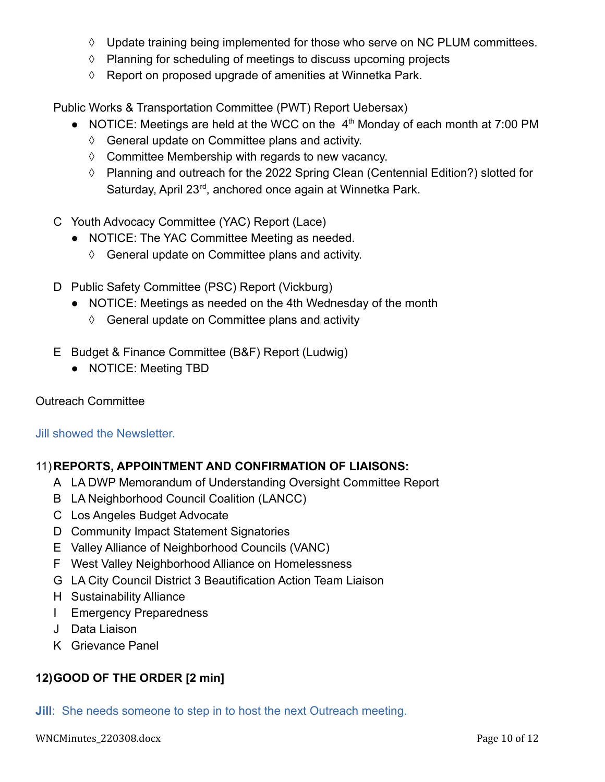- ◊ Update training being implemented for those who serve on NC PLUM committees.
- ◊ Planning for scheduling of meetings to discuss upcoming projects
- ◊ Report on proposed upgrade of amenities at Winnetka Park.

Public Works & Transportation Committee (PWT) Report Uebersax)

- NOTICE: Meetings are held at the WCC on the  $4<sup>th</sup>$  Monday of each month at 7:00 PM
	- ◊ General update on Committee plans and activity.
	- ◊ Committee Membership with regards to new vacancy.
	- ◊ Planning and outreach for the 2022 Spring Clean (Centennial Edition?) slotted for Saturday, April 23<sup>rd</sup>, anchored once again at Winnetka Park.
- C Youth Advocacy Committee (YAC) Report (Lace)
	- NOTICE: The YAC Committee Meeting as needed.
		- ◊ General update on Committee plans and activity.
- D Public Safety Committee (PSC) Report (Vickburg)
	- NOTICE: Meetings as needed on the 4th Wednesday of the month
		- ◊ General update on Committee plans and activity
- E Budget & Finance Committee (B&F) Report (Ludwig)
	- NOTICE: Meeting TBD

## Outreach Committee

## Jill showed the Newsletter.

## 11)**REPORTS, APPOINTMENT AND CONFIRMATION OF LIAISONS:**

- A LA DWP Memorandum of Understanding Oversight Committee Report
- B LA Neighborhood Council Coalition (LANCC)
- C Los Angeles Budget Advocate
- D Community Impact Statement Signatories
- E Valley Alliance of Neighborhood Councils (VANC)
- F West Valley Neighborhood Alliance on Homelessness
- G LA City Council District 3 Beautification Action Team Liaison
- H Sustainability Alliance
- I Emergency Preparedness
- J Data Liaison
- K Grievance Panel

## **12)GOOD OF THE ORDER [2 min]**

**Jill**: She needs someone to step in to host the next Outreach meeting.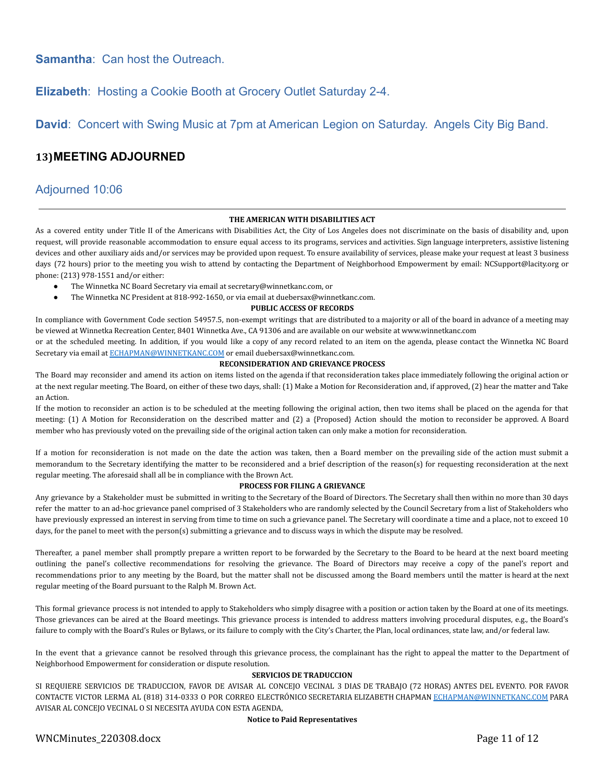**Samantha**: Can host the Outreach.

### **Elizabeth**: Hosting a Cookie Booth at Grocery Outlet Saturday 2-4.

**David**: Concert with Swing Music at 7pm at American Legion on Saturday. Angels City Big Band.

#### **13)MEETING ADJOURNED**

#### Adjourned 10:06

#### **THE AMERICAN WITH DISABILITIES ACT**

As a covered entity under Title II of the Americans with Disabilities Act, the City of Los Angeles does not discriminate on the basis of disability and, upon request, will provide reasonable accommodation to ensure equal access to its programs, services and activities. Sign language interpreters, assistive listening devices and other auxiliary aids and/or services may be provided upon request. To ensure availability of services, please make your request at least 3 business days (72 hours) prior to the meeting you wish to attend by contacting the Department of Neighborhood Empowerment by email: NCSupport@lacity.org or phone: (213) 978-1551 and/or either:

- The Winnetka NC Board Secretary via email at secretary@winnetkanc.com, or
- The Winnetka NC President at 818-992-1650, or via email at duebersax@winnetkanc.com.

#### **PUBLIC ACCESS OF RECORDS**

In compliance with Government Code section 54957.5, non-exempt writings that are distributed to a majority or all of the board in advance of a meeting may be viewed at Winnetka Recreation Center, 8401 Winnetka Ave., CA 91306 and are available on our website at www.winnetkanc.com

or at the scheduled meeting. In addition, if you would like a copy of any record related to an item on the agenda, please contact the Winnetka NC Board Secretary via email at [ECHAPMAN@WINNETKANC.COM](mailto:ECHAPMAN@WINNETKANC.COM) or email duebersax@winnetkanc.com.

#### **RECONSIDERATION AND GRIEVANCE PROCESS**

The Board may reconsider and amend its action on items listed on the agenda if that reconsideration takes place immediately following the original action or at the next regular meeting. The Board, on either of these two days, shall: (1) Make a Motion for Reconsideration and, if approved, (2) hear the matter and Take an Action.

If the motion to reconsider an action is to be scheduled at the meeting following the original action, then two items shall be placed on the agenda for that meeting: (1) A Motion for Reconsideration on the described matter and (2) a {Proposed} Action should the motion to reconsider be approved. A Board member who has previously voted on the prevailing side of the original action taken can only make a motion for reconsideration.

If a motion for reconsideration is not made on the date the action was taken, then a Board member on the prevailing side of the action must submit a memorandum to the Secretary identifying the matter to be reconsidered and a brief description of the reason(s) for requesting reconsideration at the next regular meeting. The aforesaid shall all be in compliance with the Brown Act.

#### **PROCESS FOR FILING A GRIEVANCE**

Any grievance by a Stakeholder must be submitted in writing to the Secretary of the Board of Directors. The Secretary shall then within no more than 30 days refer the matter to an ad-hoc grievance panel comprised of 3 Stakeholders who are randomly selected by the Council Secretary from a list of Stakeholders who have previously expressed an interest in serving from time to time on such a grievance panel. The Secretary will coordinate a time and a place, not to exceed 10 days, for the panel to meet with the person(s) submitting a grievance and to discuss ways in which the dispute may be resolved.

Thereafter, a panel member shall promptly prepare a written report to be forwarded by the Secretary to the Board to be heard at the next board meeting outlining the panel's collective recommendations for resolving the grievance. The Board of Directors may receive a copy of the panel's report and recommendations prior to any meeting by the Board, but the matter shall not be discussed among the Board members until the matter is heard at the next regular meeting of the Board pursuant to the Ralph M. Brown Act.

This formal grievance process is not intended to apply to Stakeholders who simply disagree with a position or action taken by the Board at one of its meetings. Those grievances can be aired at the Board meetings. This grievance process is intended to address matters involving procedural disputes, e.g., the Board's failure to comply with the Board's Rules or Bylaws, or its failure to comply with the City's Charter, the Plan, local ordinances, state law, and/or federal law.

In the event that a grievance cannot be resolved through this grievance process, the complainant has the right to appeal the matter to the Department of Neighborhood Empowerment for consideration or dispute resolution.

#### **SERVICIOS DE TRADUCCION**

SI REQUIERE SERVICIOS DE TRADUCCION, FAVOR DE AVISAR AL CONCEJO VECINAL 3 DIAS DE TRABAJO (72 HORAS) ANTES DEL EVENTO. POR FAVOR CONTACTE VICTOR LERMA AL (818) 314-0333 O POR CORREO ELECTRÓNICO SECRETARIA ELIZABETH CHAPMAN [ECHAPMAN@WINNETKANC.COM](mailto:ECHAPMAN@WINNETKANC.com) PARA AVISAR AL CONCEJO VECINAL O SI NECESITA AYUDA CON ESTA AGENDA,

#### **Notice to Paid Representatives**